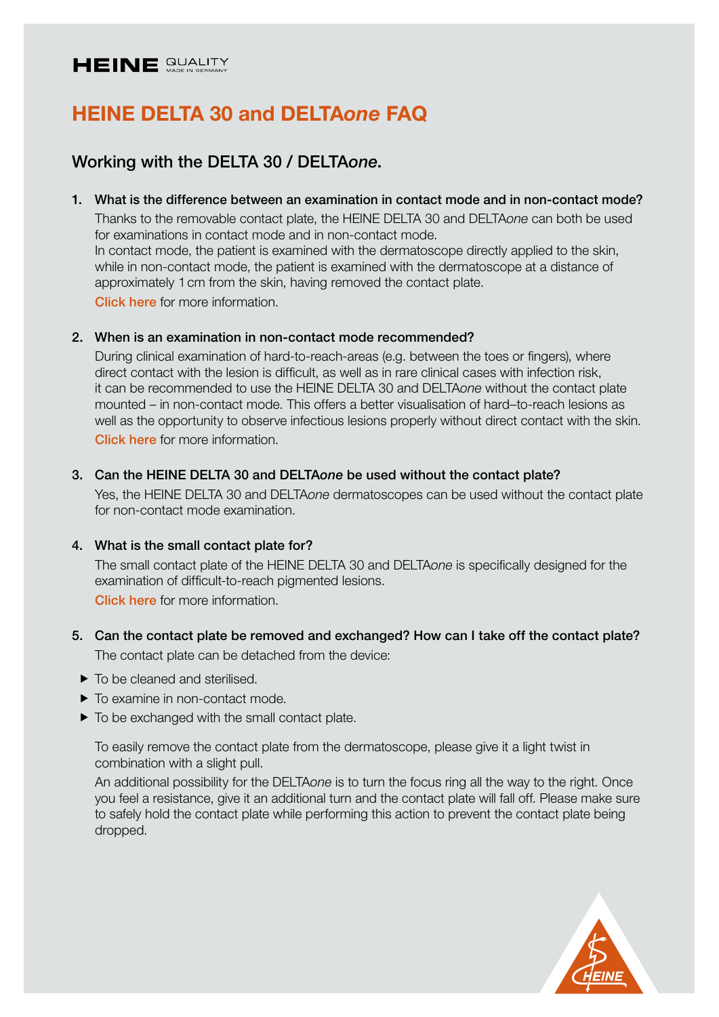# HEINE QUALITY

# HEINE DELTA 30 and DELTA*one* FAQ

# Working with the DELTA 30 / DELTA*one*.

### 1. What is the difference between an examination in contact mode and in non-contact mode?

Thanks to the removable contact plate, the HEINE DELTA 30 and DELTA*one* can both be used for examinations in contact mode and in non-contact mode. In contact mode, the patient is examined with the dermatoscope directly applied to the skin, while in non-contact mode, the patient is examined with the dermatoscope at a distance of approximately 1cm from the skin, having removed the contact plate.

[Click here](https://www.heine.com/en/medical-specialties/dermatology/contact-and-non-contact-dermatology) for more information.

# 2. When is an examination in non-contact mode recommended?

During clinical examination of hard-to-reach-areas (e.g. between the toes or fingers), where direct contact with the lesion is difficult, as well as in rare clinical cases with infection risk, it can be recommended to use the HEINE DELTA 30 and DELTA*one* without the contact plate mounted – in non-contact mode. This offers a better visualisation of hard–to-reach lesions as well as the opportunity to observe infectious lesions properly without direct contact with the skin. [Click here](https://www.heine.com/en/medical-specialties/dermatology/contact-and-non-contact-dermatology) for more information.

# 3. Can the HEINE DELTA 30 and DELTA*one* be used without the contact plate?

Yes, the HEINE DELTA 30 and DELTA*one* dermatoscopes can be used without the contact plate for non-contact mode examination.

# 4. What is the small contact plate for?

The small contact plate of the HEINE DELTA 30 and DELTA*one* is specifically designed for the examination of difficult-to-reach pigmented lesions. [Click here](https://www.heine.com/en/medical-specialties/dermatology/small-contact-plate) for more information.

# 5. Can the contact plate be removed and exchanged? How can I take off the contact plate? The contact plate can be detached from the device:

- $\blacktriangleright$  To be cleaned and sterilised.
- $\blacktriangleright$  To examine in non-contact mode.
- $\triangleright$  To be exchanged with the small contact plate.

To easily remove the contact plate from the dermatoscope, please give it a light twist in combination with a slight pull.

An additional possibility for the DELTA*one* is to turn the focus ring all the way to the right. Once you feel a resistance, give it an additional turn and the contact plate will fall off. Please make sure to safely hold the contact plate while performing this action to prevent the contact plate being dropped.

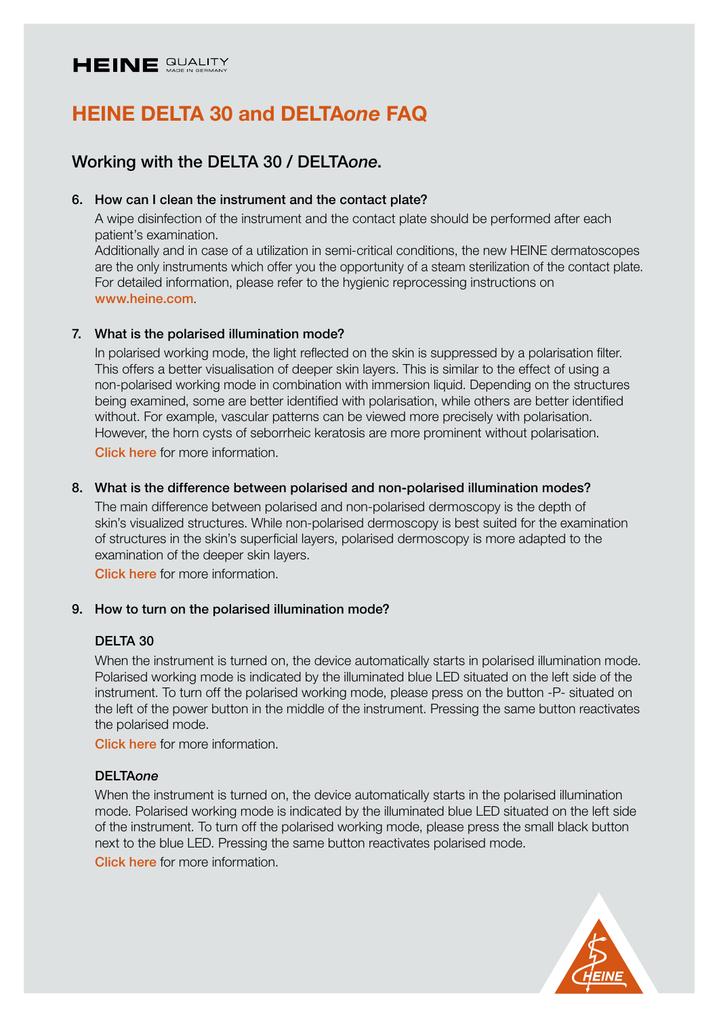

# Working with the DELTA 30 / DELTA*one*.

# 6. How can I clean the instrument and the contact plate?

A wipe disinfection of the instrument and the contact plate should be performed after each patient's examination.

Additionally and in case of a utilization in semi-critical conditions, the new HEINE dermatoscopes are the only instruments which offer you the opportunity of a steam sterilization of the contact plate. For detailed information, please refer to the hygienic reprocessing instructions on [www.heine.com](https://www.heine.com/fileadmin/accessfiles/en_GB/download/HEINE_DELTAoneDELTA30_Reprocess_MED176627_rev04_EN.pdf).

# 7. What is the polarised illumination mode?

In polarised working mode, the light reflected on the skin is suppressed by a polarisation filter. This offers a better visualisation of deeper skin layers. This is similar to the effect of using a non-polarised working mode in combination with immersion liquid. Depending on the structures being examined, some are better identified with polarisation, while others are better identified without. For example, vascular patterns can be viewed more precisely with polarisation. However, the horn cysts of seborrheic keratosis are more prominent without polarisation. [Click here](https://www.heine.com/en/medical-specialties/dermatology/polarised-and-non-polarised-light) for more information.

# 8. What is the difference between polarised and non-polarised illumination modes?

The main difference between polarised and non-polarised dermoscopy is the depth of skin's visualized structures. While non-polarised dermoscopy is best suited for the examination of structures in the skin's superficial layers, polarised dermoscopy is more adapted to the examination of the deeper skin layers.

[Click here](https://www.heine.com/en/medical-specialties/dermatology/polarised-and-non-polarised-light) for more information.

# 9. How to turn on the polarised illumination mode?

# DELTA 30

When the instrument is turned on, the device automatically starts in polarised illumination mode. Polarised working mode is indicated by the illuminated blue LED situated on the left side of the instrument. To turn off the polarised working mode, please press on the button -P- situated on the left of the power button in the middle of the instrument. Pressing the same button reactivates the polarised mode.

[Click here](https://www.heine.com/en/medical-specialties/dermatology/polarised-and-non-polarised-light) for more information.

# DELTA*one*

When the instrument is turned on, the device automatically starts in the polarised illumination mode. Polarised working mode is indicated by the illuminated blue LED situated on the left side of the instrument. To turn off the polarised working mode, please press the small black button next to the blue LED. Pressing the same button reactivates polarised mode.

[Click here](https://www.heine.com/en/medical-specialties/dermatology/polarised-and-non-polarised-light) for more information

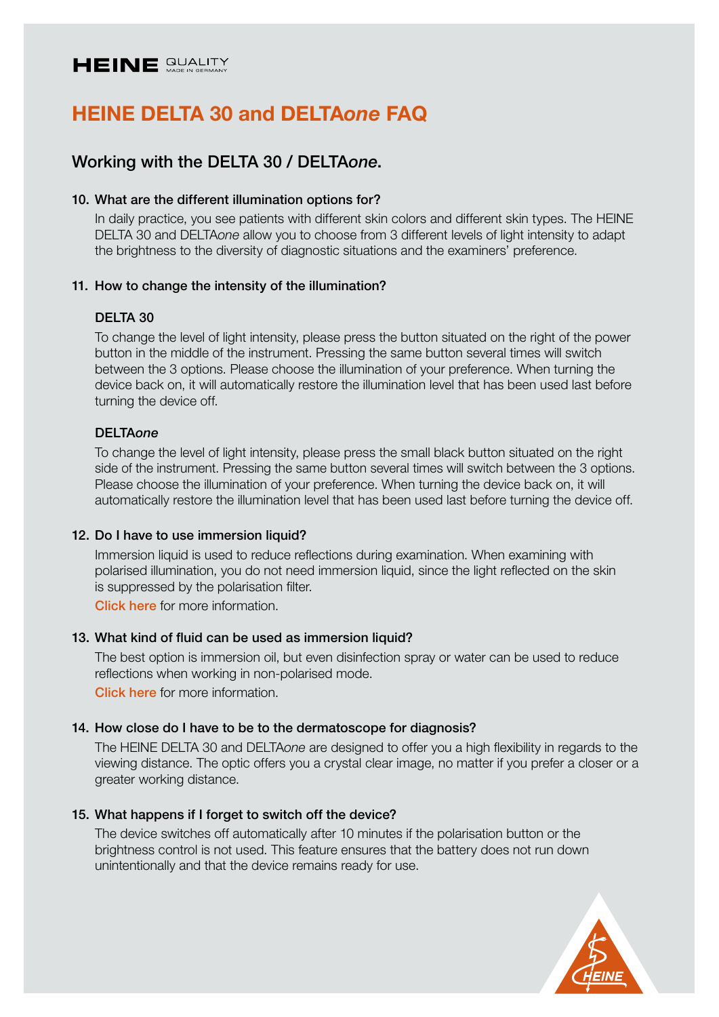

# Working with the DELTA 30 / DELTA*one*.

#### 10. What are the different illumination options for?

In daily practice, you see patients with different skin colors and different skin types. The HEINE DELTA 30 and DELTA*one* allow you to choose from 3 different levels of light intensity to adapt the brightness to the diversity of diagnostic situations and the examiners' preference.

#### 11. How to change the intensity of the illumination?

#### DELTA 30

To change the level of light intensity, please press the button situated on the right of the power button in the middle of the instrument. Pressing the same button several times will switch between the 3 options. Please choose the illumination of your preference. When turning the device back on, it will automatically restore the illumination level that has been used last before turning the device off.

#### DELTA*one*

To change the level of light intensity, please press the small black button situated on the right side of the instrument. Pressing the same button several times will switch between the 3 options. Please choose the illumination of your preference. When turning the device back on, it will automatically restore the illumination level that has been used last before turning the device off.

#### 12. Do I have to use immersion liquid?

Immersion liquid is used to reduce reflections during examination. When examining with polarised illumination, you do not need immersion liquid, since the light reflected on the skin is suppressed by the polarisation filter.

[Click here](https://www.heine.com/en/medical-specialties/dermatology/small-contact-plate) for more information.

#### 13. What kind of fluid can be used as immersion liquid?

The best option is immersion oil, but even disinfection spray or water can be used to reduce reflections when working in non-polarised mode.

[Click here](https://www.heine.com/en/medical-specialties/dermatology/small-contact-plate) for more information.

# 14. How close do I have to be to the dermatoscope for diagnosis?

The HEINE DELTA 30 and DELTA*one* are designed to offer you a high flexibility in regards to the viewing distance. The optic offers you a crystal clear image, no matter if you prefer a closer or a greater working distance.

#### 15. What happens if I forget to switch off the device?

The device switches off automatically after 10 minutes if the polarisation button or the brightness control is not used. This feature ensures that the battery does not run down unintentionally and that the device remains ready for use.

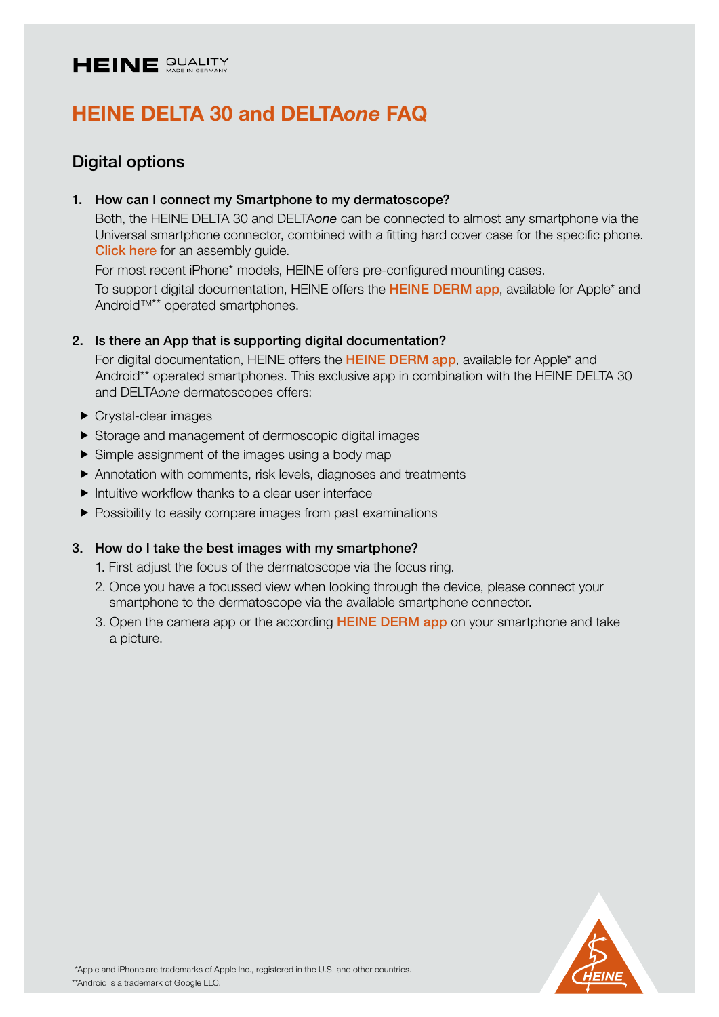

# Digital options

### 1. How can I connect my Smartphone to my dermatoscope?

Both, the HEINE DELTA 30 and DELTA*one* can be connected to almost any smartphone via the Universal smartphone connector, combined with a fitting hard cover case for the specific phone. [Click here](https://www.heine.com/fileadmin/files/en_GB/download/HEINE_Univ.-Smartph.-Connector_assembly-guide_EN_GB.PDF) for an assembly quide.

For most recent iPhone\* models, HEINE offers pre-configured mounting cases.

To support digital documentation, HEINE offers the [HEINE DERM app](https://www.heine.com/en/products/dermatoscopes-and-digital-documentation/digital-documentation/detail/191316-heine-derm-app), available for Apple<sup>\*</sup> and Android<sup>™\*\*</sup> operated smartphones.

### 2. Is there an App that is supporting digital documentation?

For digital documentation, HEINE offers the [HEINE DERM app](https://www.heine.com/en/products/dermatoscopes-and-digital-documentation/digital-documentation/detail/191316-heine-derm-app), available for Apple<sup>\*</sup> and Android\*\* operated smartphones. This exclusive app in combination with the HEINE DELTA 30 and DELTA*one* dermatoscopes offers:

- ▶ Crystal-clear images
- Storage and management of dermoscopic digital images
- $\triangleright$  Simple assignment of the images using a body map
- Annotation with comments, risk levels, diagnoses and treatments
- $\blacktriangleright$  Intuitive workflow thanks to a clear user interface
- **Possibility to easily compare images from past examinations**

#### 3. How do I take the best images with my smartphone?

- 1. First adjust the focus of the dermatoscope via the focus ring.
- 2. Once you have a focussed view when looking through the device, please connect your smartphone to the dermatoscope via the available smartphone connector.
- 3. Open the camera app or the according [HEINE DERM app](https://www.heine.com/en/products/dermatoscopes-and-digital-documentation/digital-documentation/detail/191316-heine-derm-app) on your smartphone and take a picture.

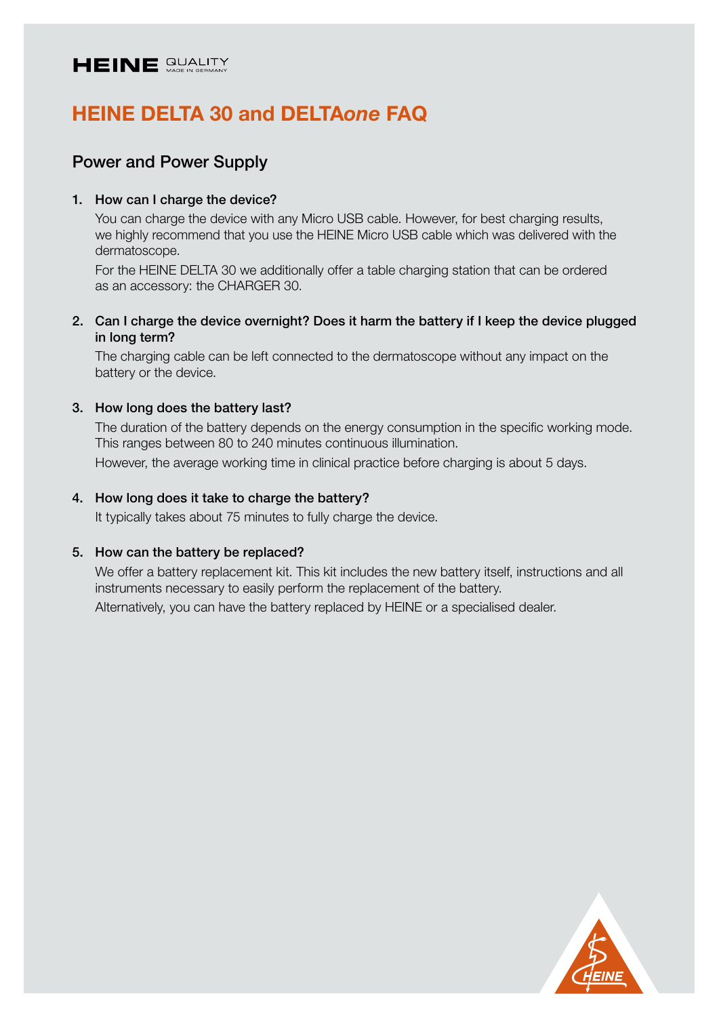

# Power and Power Supply

# 1. How can I charge the device?

You can charge the device with any Micro USB cable. However, for best charging results, we highly recommend that you use the HEINE Micro USB cable which was delivered with the dermatoscope.

For the HEINE DELTA 30 we additionally offer a table charging station that can be ordered as an accessory: the CHARGER 30.

2. Can I charge the device overnight? Does it harm the battery if I keep the device plugged in long term?

The charging cable can be left connected to the dermatoscope without any impact on the battery or the device.

#### 3. How long does the battery last?

The duration of the battery depends on the energy consumption in the specific working mode. This ranges between 80 to 240 minutes continuous illumination.

However, the average working time in clinical practice before charging is about 5 days.

#### 4. How long does it take to charge the battery?

It typically takes about 75 minutes to fully charge the device.

#### 5. How can the battery be replaced?

We offer a battery replacement kit. This kit includes the new battery itself, instructions and all instruments necessary to easily perform the replacement of the battery.

Alternatively, you can have the battery replaced by HEINE or a specialised dealer.